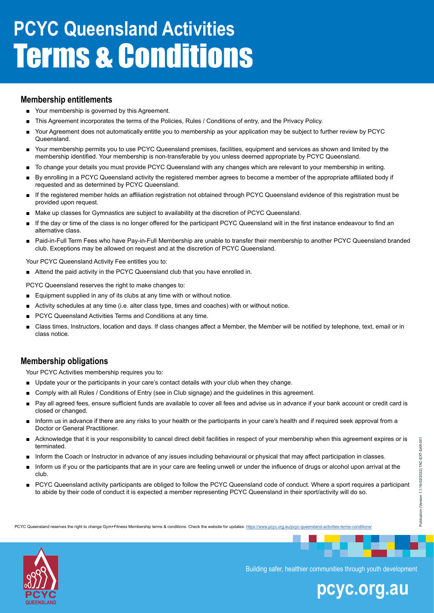### **Membership entitlements**

- Your membership is governed by this Agreement.
- This Agreement incorporates the terms of the Policies, Rules / Conditions of entry, and the Privacy Policy.
- Your Agreement does not automatically entitle you to membership as your application may be subject to further review by PCYC Queensland.
- Your membership permits you to use PCYC Queensland premises, facilities, equipment and services as shown and limited by the membership identified. Your membership is non-transferable by you unless deemed appropriate by PCYC Queensland.
- To change your details you must provide PCYC Queensland with any changes which are relevant to your membership in writing.
- By enrolling in a PCYC Queensland activity the registered member agrees to become a member of the appropriate affiliated body if requested and as determined by PCYC Queensland.
- If the registered member holds an affiliation registration not obtained through PCYC Queensland evidence of this registration must be provided upon request.
- Make up classes for Gymnastics are subject to availability at the discretion of PCYC Queensland.
- If the day or time of the class is no longer offered for the participant PCYC Queensland will in the first instance endeavour to find an alternative class.
- Paid-in-Full Term Fees who have Pay-in-Full Membership are unable to transfer their membership to another PCYC Queensland branded club. Exceptions may be allowed on request and at the discretion of PCYC Queensland.

Your PCYC Queensland Activity Fee entitles you to:

■ Attend the paid activity in the PCYC Queensland club that you have enrolled in.

PCYC Queensland reserves the right to make changes to:

- Equipment supplied in any of its clubs at any time with or without notice.
- Activity schedules at any time (i.e. alter class type, times and coaches) with or without notice.
- PCYC Queensland Activities Terms and Conditions at any time.
- Class times, Instructors, location and days. If class changes affect a Member, the Member will be notified by telephone, text, email or in class notice.

### **Membership obligations**

Your PCYC Activities membership requires you to:

- Update your or the participants in your care's contact details with your club when they change.
- Comply with all Rules / Conditions of Entry (see in Club signage) and the guidelines in this agreement.
- Pay all agreed fees, ensure sufficient funds are available to cover all fees and advise us in advance if your bank account or credit card is closed or changed.
- Inform us in advance if there are any risks to your health or the participants in your care's health and if required seek approval from a Doctor or General Practitioner.
- Acknowledge that it is your responsibility to cancel direct debit facilities in respect of your membership when this agreement expires or is terminated.
- Inform the Coach or Instructor in advance of any issues including behavioural or physical that may affect participation in classes.
- Inform us if you or the participants that are in your care are feeling unwell or under the influence of drugs or alcohol upon arrival at the club.
- PCYC Queensland activity participants are obliged to follow the PCYC Queensland code of conduct. Where a sport requires a participant to abide by their code of conduct it is expected a member representing PCYC Queensland in their sport/activity will do so.

PCYC Queensland reserves the right to change Gym+Fitness Membership terms & conditions. Check the website for updates: [https://w](https://www.pcyc.org.au/gym-membership-terms-conditions/)ww.pcyc.org.au/pcyc-queensland-activities-terms-conditions,



Building safer, healthier communities through youth development

# **pcyc.org.au**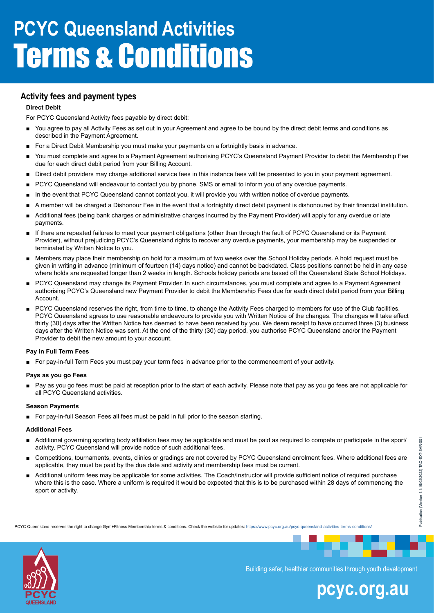## **Activity fees and payment types**

#### **Direct Debit**

For PCYC Queensland Activity fees payable by direct debit:

- You agree to pay all Activity Fees as set out in your Agreement and agree to be bound by the direct debit terms and conditions as described in the Payment Agreement.
- For a Direct Debit Membership you must make your payments on a fortnightly basis in advance.
- You must complete and agree to a Payment Agreement authorising PCYC's Queensland Payment Provider to debit the Membership Fee due for each direct debit period from your Billing Account.
- Direct debit providers may charge additional service fees in this instance fees will be presented to you in your payment agreement.
- PCYC Queensland will endeavour to contact you by phone, SMS or email to inform you of any overdue payments.
- In the event that PCYC Queensland cannot contact you, it will provide you with written notice of overdue payments.
- A member will be charged a Dishonour Fee in the event that a fortnightly direct debit payment is dishonoured by their financial institution.
- Additional fees (being bank charges or administrative charges incurred by the Payment Provider) will apply for any overdue or late payments.
- If there are repeated failures to meet your payment obligations (other than through the fault of PCYC Queensland or its Payment Provider), without prejudicing PCYC's Queensland rights to recover any overdue payments, your membership may be suspended or terminated by Written Notice to you.
- Members may place their membership on hold for a maximum of two weeks over the School Holiday periods. A hold request must be given in writing in advance (minimum of fourteen (14) days notice) and cannot be backdated. Class positions cannot be held in any case where holds are requested longer than 2 weeks in length. Schools holiday periods are based off the Queensland State School Holidays.
- PCYC Queensland may change its Payment Provider. In such circumstances, you must complete and agree to a Payment Agreement authorising PCYC's Queensland new Payment Provider to debit the Membership Fees due for each direct debit period from your Billing Account.
- PCYC Queensland reserves the right, from time to time, to change the Activity Fees charged to members for use of the Club facilities. PCYC Queensland agrees to use reasonable endeavours to provide you with Written Notice of the changes. The changes will take effect thirty (30) days after the Written Notice has deemed to have been received by you. We deem receipt to have occurred three (3) business days after the Written Notice was sent. At the end of the thirty (30) day period, you authorise PCYC Queensland and/or the Payment Provider to debit the new amount to your account.

#### **Pay in Full Term Fees**

■ For pay-in-full Term Fees you must pay your term fees in advance prior to the commencement of your activity.

#### **Pays as you go Fees**

Pay as you go fees must be paid at reception prior to the start of each activity. Please note that pay as you go fees are not applicable for all PCYC Queensland activities.

#### **Season Payments**

■ For pay-in-full Season Fees all fees must be paid in full prior to the season starting.

#### **Additional Fees**

- Additional governing sporting body affiliation fees may be applicable and must be paid as required to compete or participate in the sport/ activity. PCYC Queensland will provide notice of such additional fees.
- Competitions, tournaments, events, clinics or gradings are not covered by PCYC Queensland enrolment fees. Where additional fees are applicable, they must be paid by the due date and activity and membership fees must be current.
- Additional uniform fees may be applicable for some activities. The Coach/Instructor will provide sufficient notice of required purchase where this is the case. Where a uniform is required it would be expected that this is to be purchased within 28 days of commencing the sport or activity.

PCYC Queensland reserves the right to change Gym+Fitness Membership terms & conditions. Check the website for updates: [https://w](https://www.pcyc.org.au/gym-membership-terms-conditions/)ww.pcyc.org.au/pcyc-queensland-activities-terms-conditions,



Building safer, healthier communities through youth development

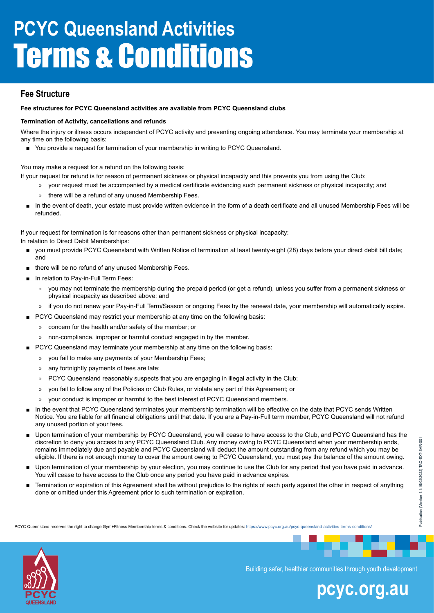### **Fee Structure**

#### **Fee structures for PCYC Queensland activities are available from PCYC Queensland clubs**

#### **Termination of Activity, cancellations and refunds**

Where the injury or illness occurs independent of PCYC activity and preventing ongoing attendance. You may terminate your membership at any time on the following basis:

■ You provide a request for termination of your membership in writing to PCYC Queensland.

You may make a request for a refund on the following basis:

- If your request for refund is for reason of permanent sickness or physical incapacity and this prevents you from using the Club:
	- » your request must be accompanied by a medical certificate evidencing such permanent sickness or physical incapacity; and
		- there will be a refund of any unused Membership Fees.
	- In the event of death, your estate must provide written evidence in the form of a death certificate and all unused Membership Fees will be refunded.

If your request for termination is for reasons other than permanent sickness or physical incapacity:

In relation to Direct Debit Memberships:

- you must provide PCYC Queensland with Written Notice of termination at least twenty-eight (28) days before your direct debit bill date; and
- there will be no refund of any unused Membership Fees.
- In relation to Pay-in-Full Term Fees:
	- » you may not terminate the membership during the prepaid period (or get a refund), unless you suffer from a permanent sickness or physical incapacity as described above; and
	- » if you do not renew your Pay-in-Full Term/Season or ongoing Fees by the renewal date, your membership will automatically expire.
	- PCYC Queensland may restrict your membership at any time on the following basis:
	- » concern for the health and/or safety of the member; or
	- » non-compliance, improper or harmful conduct engaged in by the member.
- PCYC Queensland may terminate your membership at any time on the following basis:
	- » you fail to make any payments of your Membership Fees;
	- » any fortnightly payments of fees are late;
	- » PCYC Queensland reasonably suspects that you are engaging in illegal activity in the Club;
	- » you fail to follow any of the Policies or Club Rules, or violate any part of this Agreement; or
	- » your conduct is improper or harmful to the best interest of PCYC Queensland members.
- In the event that PCYC Queensland terminates your membership termination will be effective on the date that PCYC sends Written Notice. You are liable for all financial obligations until that date. If you are a Pay-in-Full term member, PCYC Queensland will not refund any unused portion of your fees.
- Upon termination of your membership by PCYC Queensland, you will cease to have access to the Club, and PCYC Queensland has the discretion to deny you access to any PCYC Queensland Club. Any money owing to PCYC Queensland when your membership ends, remains immediately due and payable and PCYC Queensland will deduct the amount outstanding from any refund which you may be eligible. If there is not enough money to cover the amount owing to PCYC Queensland, you must pay the balance of the amount owing.
- Upon termination of your membership by your election, you may continue to use the Club for any period that you have paid in advance. You will cease to have access to the Club once any period you have paid in advance expires.
- Termination or expiration of this Agreement shall be without prejudice to the rights of each party against the other in respect of anything done or omitted under this Agreement prior to such termination or expiration.

PCYC Queensland reserves the right to change Gym+Fitness Membership terms & conditions. Check the website for updates: [https://w](https://www.pcyc.org.au/gym-membership-terms-conditions/)ww.pcyc.org.au/pcyc-queensland-activities-terms-conditions,



Building safer, healthier communities through youth development

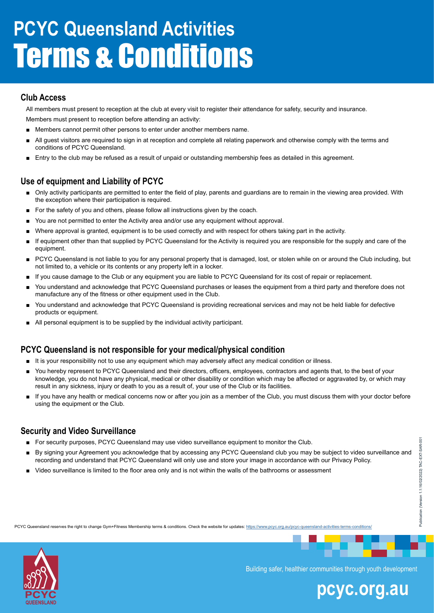### **Club Access**

All members must present to reception at the club at every visit to register their attendance for safety, security and insurance.

Members must present to reception before attending an activity:

- Members cannot permit other persons to enter under another members name.
- All guest visitors are required to sign in at reception and complete all relating paperwork and otherwise comply with the terms and conditions of PCYC Queensland.
- Entry to the club may be refused as a result of unpaid or outstanding membership fees as detailed in this agreement.

### **Use of equipment and Liability of PCYC**

- Only activity participants are permitted to enter the field of play, parents and guardians are to remain in the viewing area provided. With the exception where their participation is required.
- For the safety of you and others, please follow all instructions given by the coach.
- You are not permitted to enter the Activity area and/or use any equipment without approval.
- Where approval is granted, equipment is to be used correctly and with respect for others taking part in the activity.
- If equipment other than that supplied by PCYC Queensland for the Activity is required you are responsible for the supply and care of the equipment.
- PCYC Queensland is not liable to you for any personal property that is damaged, lost, or stolen while on or around the Club including, but not limited to, a vehicle or its contents or any property left in a locker.
- If you cause damage to the Club or any equipment you are liable to PCYC Queensland for its cost of repair or replacement.
- You understand and acknowledge that PCYC Queensland purchases or leases the equipment from a third party and therefore does not manufacture any of the fitness or other equipment used in the Club.
- You understand and acknowledge that PCYC Queensland is providing recreational services and may not be held liable for defective products or equipment.
- All personal equipment is to be supplied by the individual activity participant.

# **PCYC Queensland is not responsible for your medical/physical condition**

- It is your responsibility not to use any equipment which may adversely affect any medical condition or illness.
- You hereby represent to PCYC Queensland and their directors, officers, employees, contractors and agents that, to the best of your knowledge, you do not have any physical, medical or other disability or condition which may be affected or aggravated by, or which may result in any sickness, injury or death to you as a result of, your use of the Club or its facilities.
- If you have any health or medical concerns now or after you join as a member of the Club, you must discuss them with your doctor before using the equipment or the Club.

# **Security and Video Surveillance**

- For security purposes, PCYC Queensland may use video surveillance equipment to monitor the Club.
- By signing your Agreement you acknowledge that by accessing any PCYC Queensland club you may be subject to video surveillance and recording and understand that PCYC Queensland will only use and store your image in accordance with our Privacy Policy.
- Video surveillance is limited to the floor area only and is not within the walls of the bathrooms or assessment





Building safer, healthier communities through youth development

# **pcyc.org.au**